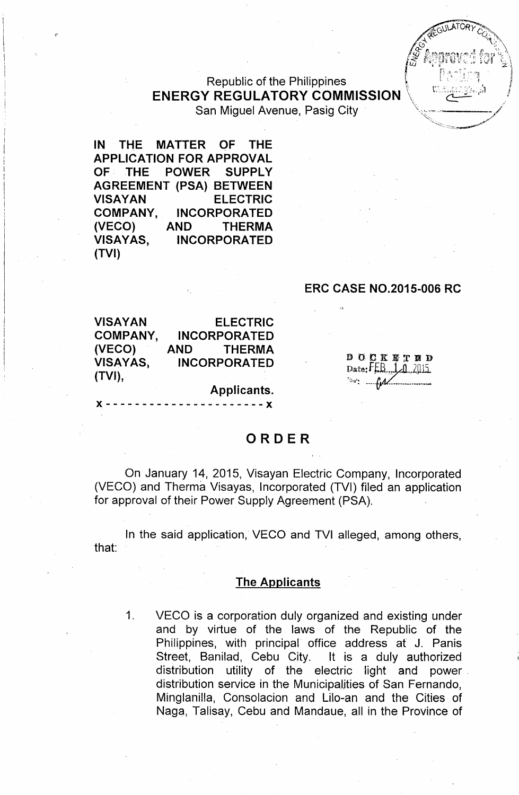

## Republic of the Philippines  $ENERGY REGULATORY COMMISSION$ San Miguel Avenue, Pasig City

**IN THE MATTER OF THE APPLICATION FOR APPROVAL OF THE POWER SUPPLY AGREEMENT (PSA) BETWEEN VISAYAN ELECTRIC COMPANY, INCORPORATED** ~ECO) **AND THERMA VISAYAS, INCORPORATED (TVI)**

(.

## **ERC CASE NO.2015-006 RC**

| VISAYAN  |      | <b>ELECTRIC</b>     |
|----------|------|---------------------|
| COMPANY, |      | <b>INCORPORATED</b> |
| (VECO)   | AND. | <b>THERMA</b>       |
| VISAYAS, |      | <b>INCORPORATED</b> |
| (TVI),   |      |                     |
|          |      | Applicants.         |

**x** ---------------------

DOCKETED Date: $FLB$   $1.1$   $2015$  $\sim$   $\mu$ 

## **ORDER**

On January 14, 2015, Visayan Electric Company, Incorporated (VECO) and Therma Visayas, Incorporated (TVI) filed an application for approval of their Power Supply Agreement (PSA).

In the said application, VECO and TVI alleged, among others, that:

#### **The Applicants**

1. VECO is a corporation duly organized and existing under and by virtue of the laws of the Republic of the Philippines, with principal office address at J. Panis Street, Banilad, Cebu City. It is a duly authorized distribution utility of the electric light and power. distribution service in the Municipalities of San Fernando, Minglanilla, Consolacion and Lilo-an and the Cities of Naga, Talisay, Cebu and Mandaue, all in the Province of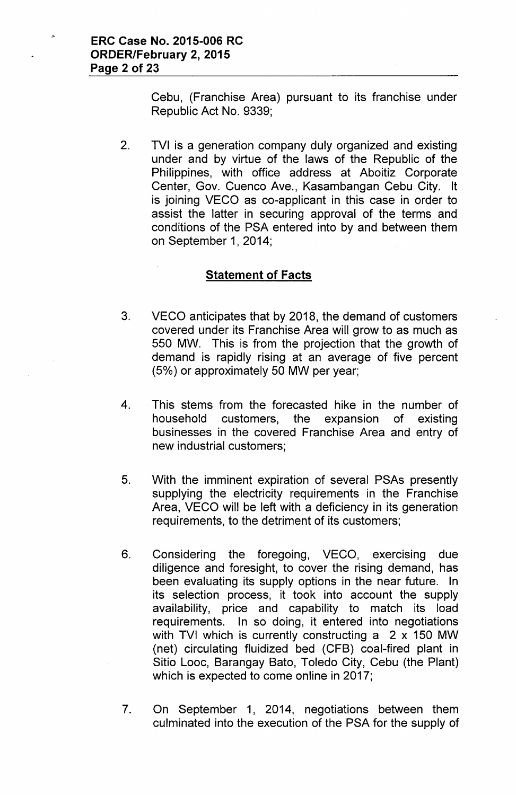Cebu, (Franchise Area) pursuant to its franchise under Republic Act No. 9339;

2. TVI is a generation company duly organized and existing under and by virtue of the laws of the Republic of the Philippines, with office address at Aboitiz Corporate Center, Gov. Cuenco Ave., Kasambangan Cebu City. It is joining VECO as co-applicant in this case in order to assist the latter in securing approval of the terms and conditions of the PSA entered into by and between them on September 1,2014;

## **Statement of Facts**

- 3. VECO anticipates that by 2018, the demand of customers covered under its Franchise Area will grow to as much as 550 MW. This is from the projection that the growth of demand is rapidly rising at an average of five percent (5%) or approximately 50 MW per year;
- 4. This stems from the forecasted hike in the number of household customers, the expansion of existing businesses in the covered Franchise Area and entry of new industrial customers;
- 5. With the imminent expiration of several PSAs presently supplying the electricity requirements in the Franchise Area, VECO will be left with a deficiency in its generation requirements, to the detriment of its customers;
- 6. Considering the foregoing, VECO, exercising due diligence and foresight, to cover the rising demand, has been evaluating its supply options in the near future. In its selection process, it took into account the supply availability, price and capability to match its load requirements. In so doing, it entered into negotiations with TVI which is currently constructing a 2 x 150 MW (net) circulating fluidized bed (CFB) coal-fired plant in Sitio Looc, Barangay Bato, Toledo City, Cebu (the Plant) which is expected to come online in 2017;
- 7. On September 1, 2014, negotiations between them culminated into the execution of the PSA for the supply of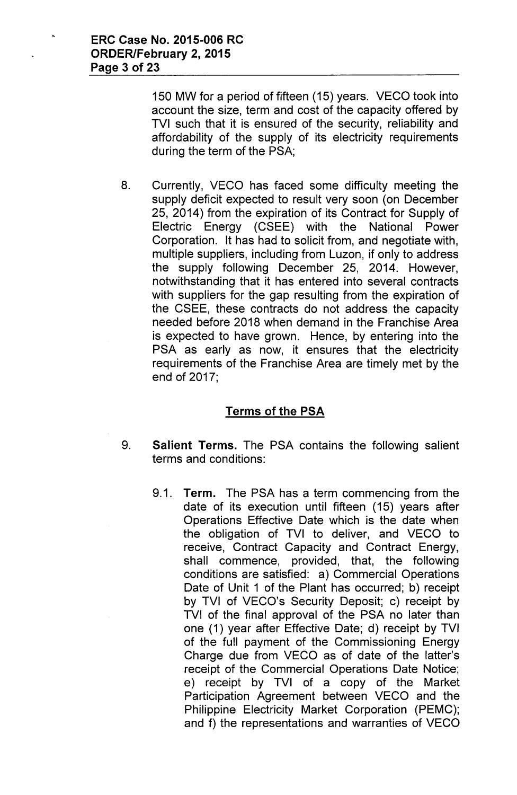150 MW for a period of fifteen (15) years. VECO took into account the size, term and cost of the capacity offered by TVI such that it is ensured of the security, reliability and affordability of the supply of its electricity requirements during the term of the PSA;

8. Currently, VECO has faced some difficulty meeting the supply deficit expected to result very soon (on December 25, 2014) from the expiration of its Contract for Supply of Electric Energy (CSEE) with the National Power Corporation. It has had to solicit from, and negotiate with, multiple suppliers, including from Luzon, if only to address the supply following December 25, 2014. However, notwithstanding that it has entered into several contracts with suppliers for the gap resulting from the expiration of the CSEE, these contracts do not address the capacity needed before 2018 when demand in the Franchise Area is expected to have grown. Hence, by entering into the PSA as early as now, it ensures that the electricity requirements of the Franchise Area are timely met by the end of 2017;

# **Terms of the PSA**

- 9. **Salient Terms.** The PSA contains the following salient terms and conditions:
	- 9.1. **Term.** The PSA has a term commencing from the date of its execution until fifteen (15) years after Operations Effective Date which is the date when the obligation of TVI to deliver, and VECO to receive, Contract Capacity and Contract Energy, shall commence, provided, that, the following conditions are satisfied: a) Commercial Operations Date of Unit 1 of the Plant has occurred; b) receipt by TVI of VECO's Security Deposit; c) receipt by TVI of the final approval of the PSA no later than one (1) year after Effective Date; d) receipt by TVI of the full payment of the Commissioning Energy Charge due from VECO as of date of the latter's receipt of the Commercial Operations Date Notice; e) receipt by TVI of a copy of the Market Participation Agreement between VECO and the Philippine Electricity Market Corporation (PEMC); and f) the representations and warranties of VECO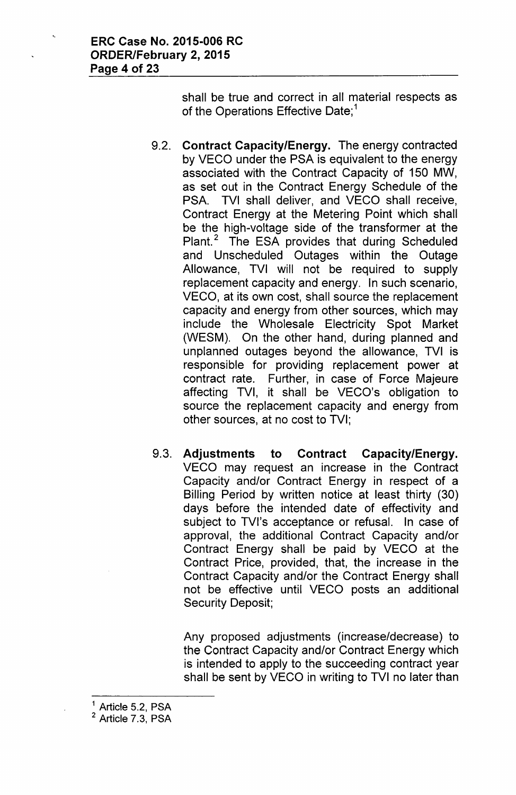shall be true and correct in all material respects as of the Operations Effective Date;<sup>1</sup>

- 9.2. **Contract Capacity/Energy.** The energy contracted by VECO under the PSA is equivalent to the energy associated with the Contract Capacity of 150 MW, as set out in the Contract Energy Schedule of the PSA. TVI shall deliver, and VECO shall receive, Contract Energy at the Metering Point which shall be the high-voltage side of the transformer at the Plant.<sup>2</sup> The ESA provides that during Scheduled and Unscheduled Outages within the Outage Allowance, TVI will not be required to supply replacement capacity and energy. In such scenario, VECO, at its own cost, shall source the replacement capacity and energy from other sources, which may include the Wholesale Electricity Spot Market (WESM). On the other hand, during planned and unplanned outages beyond the allowance, TVI is responsible for providing replacement power at contract rate. Further, in case of Force Majeure affecting TVI, it shall be VECO's obligation to source the replacement capacity and energy from other sources, at no cost to TVI;
- 9.3. **Adjustments to Contract Capacity/Energy.** VECO may request an increase in the Contract Capacity and/or Contract Energy in respect of a Billing Period by written notice at least thirty (30) days before the intended date of effectivity and subject to TVI's acceptance or refusal. In case of approval, the additional Contract Capacity and/or Contract Energy shall be paid by VECO at the Contract Price, provided, that, the increase in the Contract Capacity and/or the Contract Energy shall not be effective until VECO posts an additional Security Deposit;

Any proposed adjustments (increase/decrease) to the Contract Capacity and/or Contract Energy which is intended to apply to the succeeding contract year shall be sent by VECO in writing to TVI no later than

 $<sup>1</sup>$  Article 5.2, PSA</sup> <sup>2</sup> Article 7.3, PSA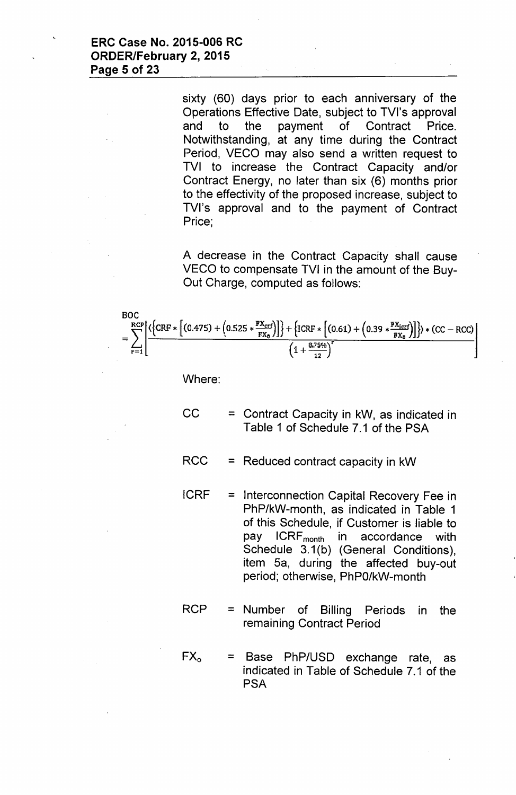sixty (60) days prior to each anniversary of the Operations Effective Date, subject to TVI's approval and to the payment of Contract Price. Notwithstanding, at any time during the Contract Period, VECO may also send a written request to TVI to increase the Contract Capacity and/or Contract Energy, no later than six (6) months prior to the effectivity of the proposed increase, subject to TVI's approval and to the payment of Contract Price;

A decrease in the Contract Capacity shall cause VECO to compensate TVI in the amount of the Buy-Out Charge, computed as follows:

$$
BOC
$$
  
=
$$
\sum_{r=1}^{RCP} \left[ \frac{\left( \left\{ CRF * \left[ (0.475) + (0.525 * \frac{FX_{crf}}{FX_0}) \right] \right\} + \left\{ ICRF * \left[ (0.61) + (0.39 * \frac{FX_{icrf}}{FX_0}) \right] \right\} \right) * (CC - RCC)}{(1 + \frac{8.75\%}{12})^{r}} \right]
$$

Where:

- $CC =$  = Contract Capacity in kW, as indicated in Table 1 of Schedule 7.1 of the PSA
- RCC = Reduced contract capacity in kW
- ICRF = Interconnection Capital Recovery Fee in PhP/kW-month, as indicated in Table 1 of this Schedule, if Customer is liable to pay ICRF<sub>month</sub> in accordance with Schedule 3.1(b) (General Conditions), item 5a, during the affected buy-out period; otherwise, PhPO/kW-month
- $RCP =$  Number of Billing Periods in the remaining Contract Period
- $FX_0 = Base PhP/USD$  exchange rate, as indicated in Table of Schedule 7.1 of the **PSA**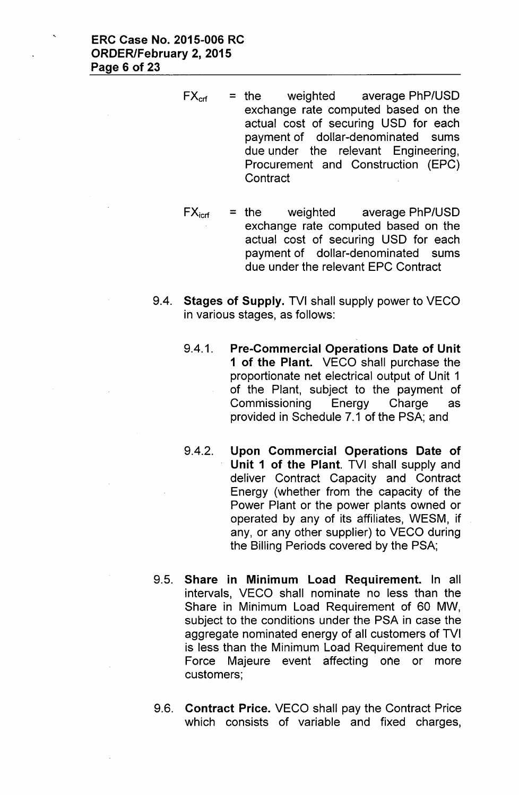- $FX_{\text{cf}}$  = the weighted average PhP/USD exchange rate computed based on the actual cost of securing USD for each payment of dollar-denominated sums due under the relevant Engineering, Procurement and Construction (EPC) **Contract**
- $FX<sub>icrf</sub>$  = the weighted average PhP/USD exchange rate computed based on the actual cost of securing USD for each payment of dollar-denominated sums due under the relevant EPC Contract
- 9.4. Stages of Supply. TVI shall supply power to VECO in various stages, as follows:
	- 9.4.1. Pre-Commercial Operations Date of Unit 1 of the Plant. VECO shall purchase the proportionate net electrical output of Unit 1 of the Plant, subject to the payment of Commissioning Energy Charge as provided in Schedule 7.1 of the PSA; and
	- 9.4.2. Upon Commercial Operations Date of Unit 1 of the Plant. TVI shall supply and deliver Contract Capacity and Contract Energy (whether from the capacity of the Power Plant or the power plants owned or operated by any of its affiliates, WESM, if any, or any other supplier) to VECO during the Billing Periods covered by the PSA;
- 9.5. Share in Minimum Load Requirement. In all intervals, VECO shall nominate no less than the Share in Minimum Load Requirement of 60 MW, subject to the conditions under the PSA in case the aggregate nominated energy of all customers of TVI is less than the Minimum Load Requirement due to Force Majeure event affecting one or more customers;
- 9.6. Contract Price. VECO shall pay the Contract Price which consists of variable and fixed charges,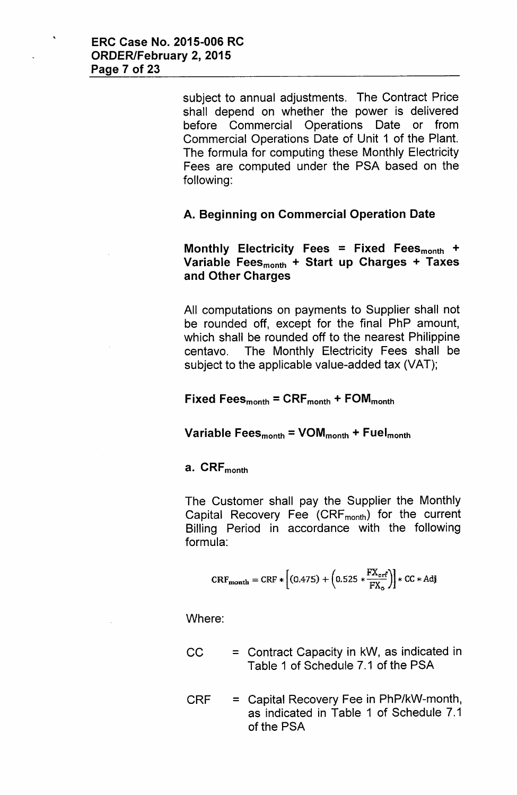subject to annual adjustments. The Contract Price shall depend on whether the power is delivered before Commercial Operations Date or from Commercial Operations Date of Unit 1 of the Plant. The formula for computing these Monthly Electricity Fees are computed under the PSA based on the following:

## A. Beginning on Commercial Operation Date

Monthly Electricity Fees = Fixed Fees $_{\text{month}}$  + Variable Fees $_{\text{month}}$  + Start up Charges + Taxes and Other Charges

All computations on payments to Supplier shall not be rounded off, except for the final PhP amount, which shall be rounded off to the nearest Philippine centavo. The Monthly Electricity Fees shall be subject to the applicable value-added tax (VAT);

Fixed Fees $_{\text{month}}$  = CRF $_{\text{month}}$  + FOM $_{\text{month}}$ 

Variable Fees $_{\text{month}}$  = VOM $_{\text{month}}$  + Fuel $_{\text{month}}$ 

#### a. CRF<sub>month</sub>

The Customer shall pay the Supplier the Monthly Capital Recovery Fee  $(CRF_{month})$  for the current Billing Period in accordance with the following formula:

$$
CRF_{\text{month}} = CRF * \left[ (0.475) + \left( 0.525 * \frac{FX_{\text{erf}}}{FX_{\text{o}}} \right) \right] * CC * Adj
$$

Where:

- $CC =$  = Contract Capacity in kW, as indicated in Table 1 of Schedule 7.1 of the PSA
- CRF = Capital Recovery Fee in PhP/kW-month, as indicated in Table 1 of Schedule 7.1 of the PSA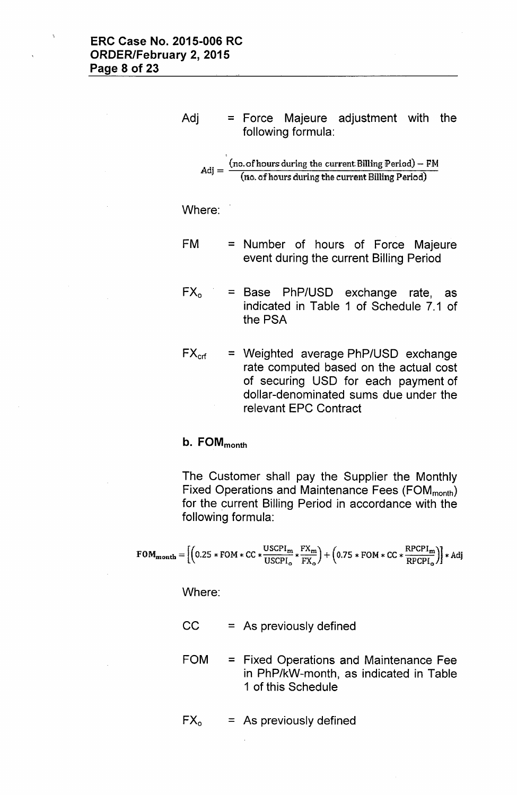Adj = Force Majeure adjustment with the following formula:

$$
Adj = \frac{(no. of hours during the current Billing Period) - FM}{(no. of hours during the current Billing Period)}
$$

Where:

- FM = Number of hours of Force Majeure event during the current Billing Period
- $FX_0 = Base PhP/USD$  exchange rate, as indicated in Table 1 of Schedule 7.1 of the PSA
- $FX_{\text{crf}}$  = Weighted average PhP/USD exchange rate computed based on the actual cost of securing USD for each payment of dollar-denominated sums due under the relevant EPC Contract

# b. FOM<sub>month</sub>

The Customer shall pay the Supplier the Monthly Fixed Operations and Maintenance Fees (FOM<sub>month</sub>) for the current Billing Period in accordance with the following formula:

$$
\text{FOM}_{\text{month}} = \left[ \left( 0.25 * \text{FOM} * \text{CC} * \frac{\text{USCPI}_{\text{m}}}{\text{USCPI}_{\text{o}}} * \frac{\text{FX}_{\text{m}}}{\text{FX}_{\text{o}}} \right) + \left( 0.75 * \text{FOM} * \text{CC} * \frac{\text{RPCPI}_{\text{m}}}{\text{RPCPI}_{\text{o}}} \right) \right] * \text{Adj}
$$

Where:

- $CC = As previously defined$
- FOM = Fixed Operations and Maintenance Fee in PhP/kW-month, as indicated in Table 1 of this Schedule

$$
FXo = As previously defined
$$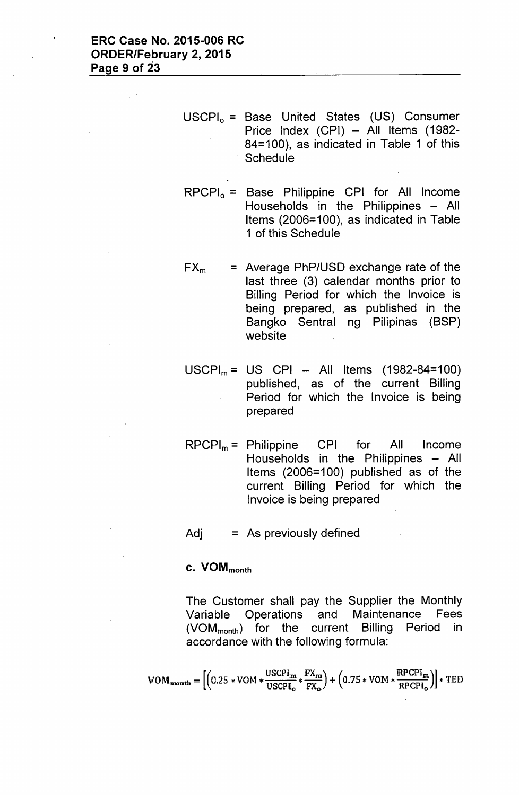USCPI<sub>o</sub> = Base United States (US) Consumer Price Index (CPI) - All Items (1982-84=100), as indicated in Table 1 of this **Schedule** 

 $RPCPI_0 = Base$  Philippine CPI for All Income Households in the Philippines - All Items (2006=100), as indicated in Table 1 of this Schedule

- $FX_m$  = Average PhP/USD exchange rate of the last three (3) calendar months prior to Billing Period for which the Invoice is being prepared, as published in the Bangko Sentral ng Pilipinas (BSP) website
- $USCPI_m = US CPI All items (1982-84=100)$ published, as of the current Billing Period for which the Invoice is being prepared
- $RPCPI_m =$  Philippine CPI for All Income Households in the Philippines - All Items (2006=100) published as of the current Billing Period for which the Invoice is being prepared

 $Adj = As previously defined$ 

## c. VOM<sub>month</sub>

The Customer shall pay the Supplier the Monthly Variable Operations and Maintenance Fees (VOM<sub>month</sub>) for the current Billing Period in accordance with the following formula:

$$
\text{VOM}_{\text{month}} = \left[ \left( 0.25*\text{VOM}*\frac{\text{USCPI}_{\text{m}}}{\text{USCPI}_{\text{o}}}*\frac{\text{FX}_{\text{m}}}{\text{FX}_{\text{o}}} \right) + \left( 0.75*\text{VOM}*\frac{\text{RPCPI}_{\text{m}}}{\text{RPCPI}_{\text{o}}} \right) \right] * \text{TED}
$$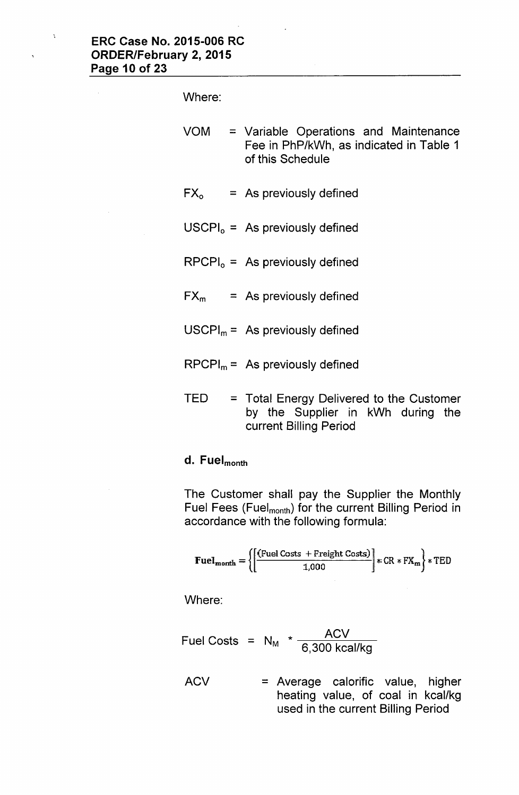Where:

VOM = Variable Operations and Maintenance Fee in PhP/kWh, as indicated in Table 1 of this Schedule

- $FX<sub>o</sub> = As previously defined$
- $USCPI<sub>o</sub> = As previously defined$
- $RPCPI<sub>o</sub> = As previously defined$
- $FX_m$  = As previously defined
- $USCPI_m = As$  previously defined
- $RPCPI_m =$  As previously defined
- $TED = Total Energy Deleting to the Customer$ by the Supplier in kWh during the current Billing Period

# d. Fuel<sub>month</sub>

The Customer shall pay the Supplier the Monthly Fuel Fees (Fuel<sub>month</sub>) for the current Billing Period in accordance with the following formula:

$$
\text{Fuel}_{\text{month}} = \left\{ \left[ \frac{\text{(Fuel Costs + Freight Costs)}}{1,000} \right] * \text{CR} * \text{FX}_{\text{m}} \right\} * \text{TED}
$$

Where:

$$
Full Costs = N_M * \frac{ACV}{6,300 \text{ kcal/kg}}
$$

ACV = Average calorific value, higher heating value, of coal in kcal/kg used in the current Billing Period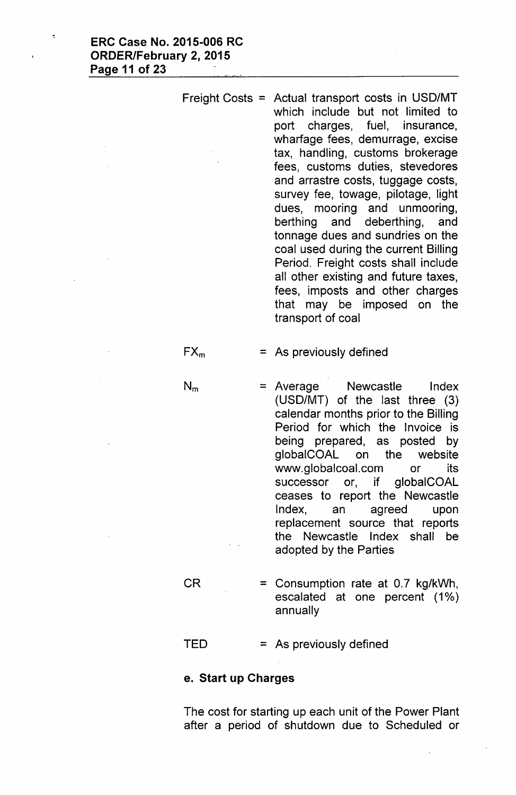Freight Costs = Actual transport costs in USD/MT which include but not limited to port charges, fuel, insurance, wharfage fees, demurrage, excise tax, handling, customs brokerage fees, customs duties, stevedores and arrastre costs, tuggage costs, survey fee, towage, pilotage, light dues, mooring and unmooring, berthing and deberthing, and tonnage dues and sundries on the coal used during the current Billing Period. Freight costs shall include all other existing and future taxes, fees, imposts and other charges that may be imposed on the transport of coal

 $FX_m$  = As previously defined

- $N_m$  = Average Newcastle Index (USD/MT) of the last three (3) calendar months prior to the Billing Period for which the Invoice is being prepared, as posted by globalCOAL on the website [www.globalcoal.com](http://www.globalcoal.com) or its successor or, if global COAL ceases to report the Newcastle Index, an agreed upon replacement source that reports the Newcastle Index shall be adopted by the Parties
- $CR = Consumption rate at 0.7 kg/kWh,$ escalated at one percent (1%) annually

 $TED = As previously defined$ 

### e. Start up Charges

The cost for starting up each unit of the Power Plant after a period of shutdown due to Scheduled or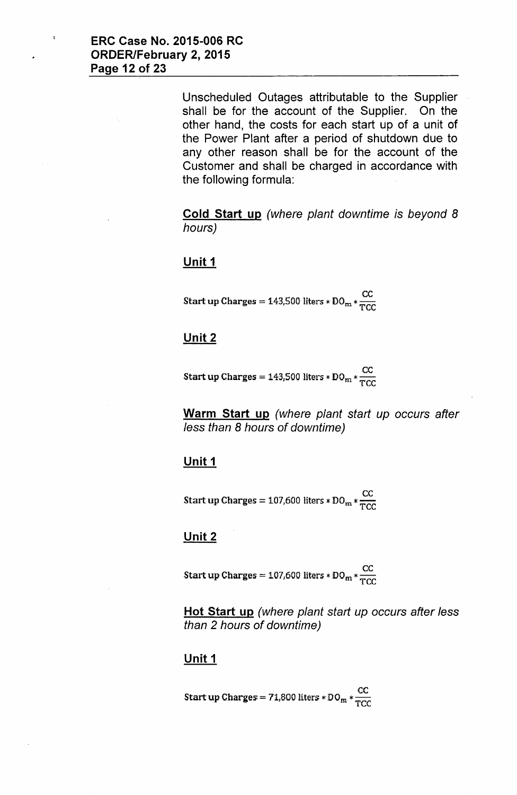Unscheduled Outages attributable to the Supplier shall be for the account of the Supplier. On the other hand, the costs for each start up of a unit of the Power Plant after a period of shutdown due to any other reason shall be for the account of the Customer and shall be charged in accordance with the following formula:

**Cold Start up** *(where plant downtime is beyond 8 hours)*

### **Unit 1**

Start up Charges = 143,500 liters \* DO<sub>m</sub> \*  $\frac{CC}{TC}$ 

## **Unit 2**

Start up Charges = 143,500 liters \*  $DO_{m} * \frac{CC}{TCC}$ 

**Warm Start up** *(where plant start up occurs after* less *than* 8 *hours* of *downtime)*

### **Unit 1**

Start up Charges = 107,600 liters \* DO<sub>m</sub> \*  $\frac{CC}{TCC}$ 

### **Unit 2**

Start up Charges = 107,600 liters \* DO<sub>m</sub> \*  $\frac{CC}{TCC}$ 

**Hot Start up** *(where plant start up occurs after* less *than* 2 *hours* of *downtime)*

### **Unit 1**

Start up Charges = 71,800 liters \* DO<sub>m</sub> \*  $\frac{CC}{TCC}$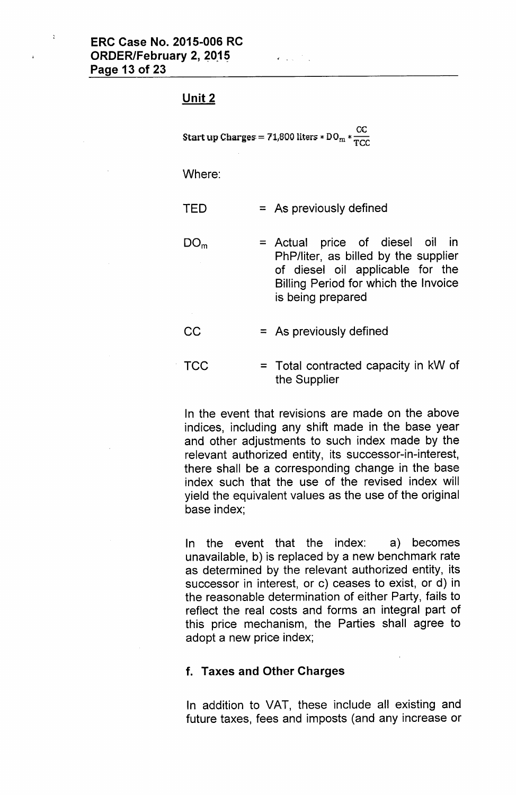#### Unit 2

Start up Charges = 71,800 liters \* DO<sub>m</sub> \*  $\frac{CC}{TC}$ 

 $\mathcal{L}^{\text{max}}$ 

Where:

- $TED = As previously defined$
- $DO<sub>m</sub>$  = Actual price of diesel oil in PhP/liter, as billed by the supplier of diesel oil applicable for the Billing Period for which the Invoice is being prepared
- $CC = As previously defined$
- $TCC = Total contracted capacity in kW of$ the Supplier

In the event that revisions are made on the above indices, including any shift made in the base year and other adjustments to such index made by the relevant authorized entity, its successor-in-interest, there shall be a corresponding change in the base index such that the use of the revised index will yield the equivalent values as the use of the original base index;

In the event that the index: a) becomes unavailable, b) is replaced by a new benchmark rate as determined by the relevant authorized entity, its successor in interest, or c) ceases to exist, or d) in the reasonable determination of either Party, fails to reflect the real costs and forms an integral part of this price mechanism, the Parties shall agree to adopt a new price index;

#### f. Taxes and Other Charges

In addition to VAT, these include all existing and future taxes, fees and imposts (and any increase or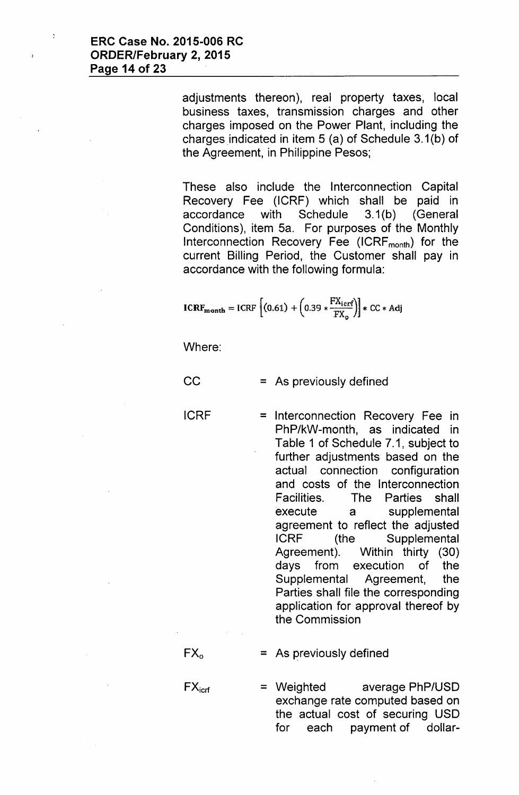adjustments thereon), real property taxes, local business taxes, transmission charges and other charges imposed on the Power Plant, including the charges.indicated in item 5 (a) of Schedule 3.1(b) of the Agreement, in Philippine Pesos;

These also include the Interconnection Capital Recovery Fee (ICRF) which shall be paid in accordance with Schedule 3.1(b) (General Conditions), item 5a. For purposes of the Monthly Interconnection Recovery Fee  $(ICRF_{month})$  for the current Billing Period, the Customer shall pay in accordance with the following formula:

$$
ICRF_{month} = ICRF\left[(0.61) + \left(0.39 * \frac{FX_{icrf}}{FX_0}\right)\right] * CC * Adj
$$

Where:

 $CC = As previously defined$ 

ICRF = Interconnection Recovery Fee in PhP/kW-month, as indicated in Table 1 of Schedule 7.1, subject to further adjustments based on the actual connection configuration and costs of the Interconnection Facilities. The Parties shall execute a supplemental agreement to reflect the adjusted ICRF (the Supplemental Agreement). Within thirty (30) days from execution of the Supplemental Agreement, the Parties shall file the corresponding application for approval thereof by the Commission

 $FX<sub>o</sub> = As previously defined$ 

 $FX<sub>icrf</sub>$  = Weighted average PhP/USD exchange rate computed based on the actual cost of securing USD for each payment of dollar-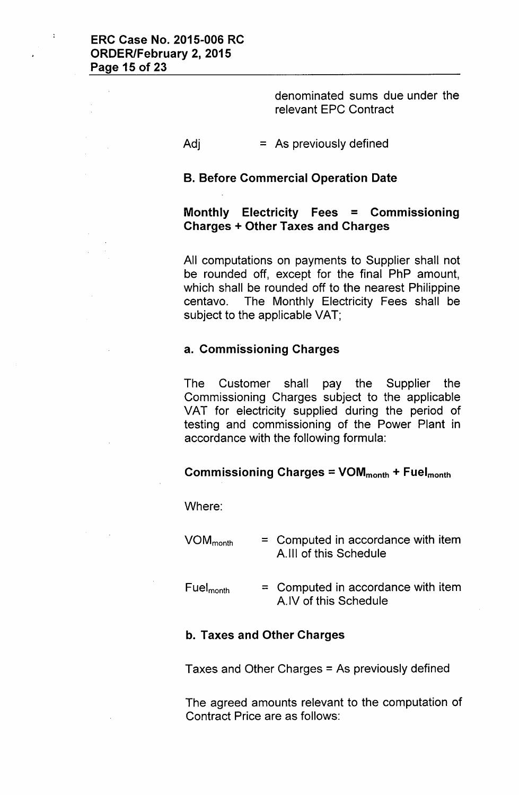denominated sums due under the relevant EPC Contract

#### $Adj = As$  previously defined

#### B. Before Commercial Operation Date

## Monthly Electricity Fees = Commissioning Charges + Other Taxes and Charges

All computations on payments to Supplier shall not be rounded off, except for the final PhP amount, which shall be rounded off to the nearest Philippine centavo. The Monthly Electricity Fees shall be subject to the applicable VAT;

#### a. Commissioning Charges

The Customer shall pay the Supplier the Commissioning Charges subject to the applicable VAT for electricity supplied during the period of testing and commissioning of the Power Plant in accordance with the following formula:

#### Commissioning Charges =  $VOM_{month} + Fuel_{month}$

Where:

| $VOM_{month}$         | $=$ Computed in accordance with item<br>A.III of this Schedule |
|-----------------------|----------------------------------------------------------------|
| Fuel <sub>month</sub> | $=$ Computed in accordance with item<br>A.IV of this Schedule  |

#### b. Taxes and Other Charges

Taxes and Other Charges = As previously defined

The agreed amounts relevant to the computation of Contract Price are as follows: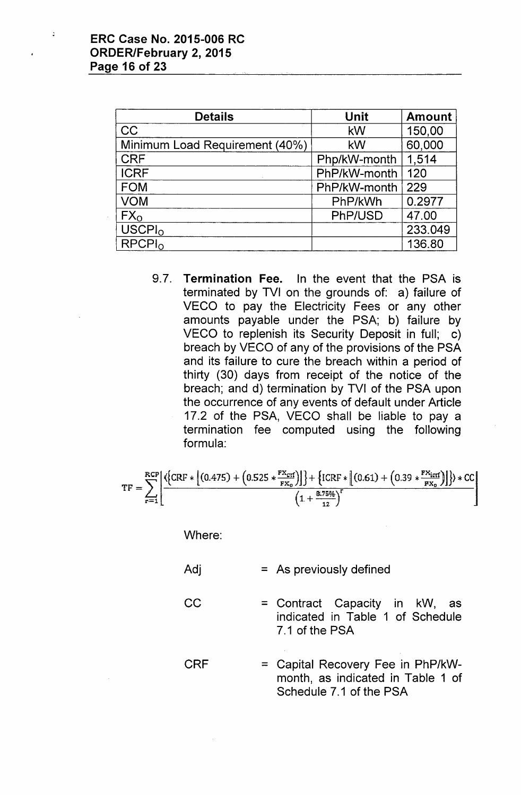$\ddot{\phantom{a}}$ 

| <b>Details</b>                 | <b>Unit</b>  | <b>Amount</b> |
|--------------------------------|--------------|---------------|
| <b>CC</b>                      | kW           | 150,00        |
| Minimum Load Requirement (40%) | kW           | 60,000        |
| <b>CRF</b>                     | Php/kW-month | 1,514         |
| <b>ICRF</b>                    | PhP/kW-month | 120           |
| <b>FOM</b>                     | PhP/kW-month | 229           |
| <b>VOM</b>                     | PhP/kWh      | 0.2977        |
| FX <sub>o</sub>                | PhP/USD      | 47.00         |
| USCPI <sub>0</sub>             |              | 233.049       |
| RPCPI <sub>0</sub>             |              | 136.80        |

9.7. Termination Fee. In the event that the PSA is terminated by TVI on the grounds of: a) failure of VECO to pay the Electricity Fees or any other amounts payable under the PSA; b) failure by VECO to replenish its Security Deposit in full: c) breach by VECO of any of the provisions of the PSA and its failure to cure the breach within a period of thirty (30) days from receipt of the notice of the breach; and d) termination by TVI of the PSA upon the occurrence of any events of default under Article 17.2 of the PSA, VECO shall be liable to pay a termination fee computed using the following formula:

$$
TF = \sum_{r=1}^{RCP} \left[ \frac{\left\{ (RF * [(0.475) + (0.525 * \frac{FX_{\text{crf}}}{FX_0})]) \right\} + \left\{ ICRF * [(0.61) + (0.39 * \frac{FX_{\text{crf}}}{FX_0})] \right\} \right\} * CC}{(1 + \frac{8.75\%}{12})^r} \right]
$$

Where:

| Adj |  |  | $=$ As previously defined |  |
|-----|--|--|---------------------------|--|
|-----|--|--|---------------------------|--|

CC = Contract Capacity in kW, as indicated in Table 1 of Schedule 7.1 of the PSA

CRF = Capital Recovery Fee in PhP/kWmonth, as indicated in Table 1 of Schedule 7.1 of the PSA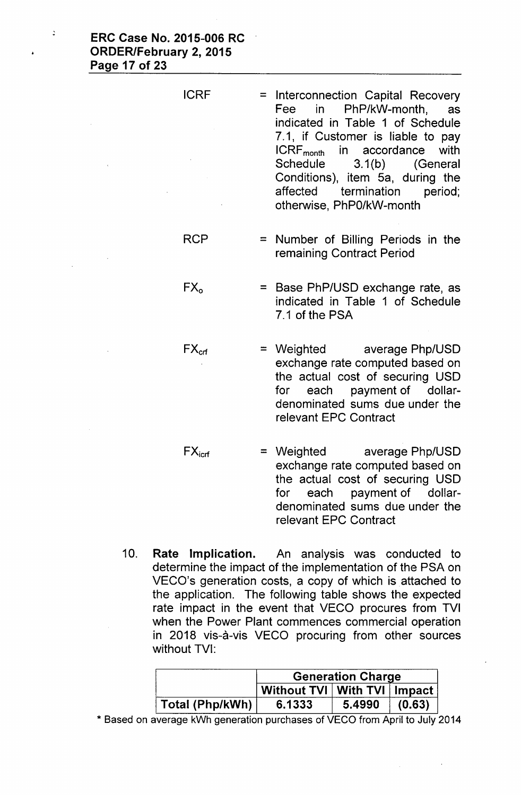Ċ

- ICRF = Interconnection Capital Recovery Fee in PhP/kW-month, as indicated in Table 1 of Schedule 7.1, if Customer is liable to pay ICRFmonth in accordance with Schedule 3.1(b) (General Conditions), item Sa, during the affected termination period; otherwise, PhPO/kW-month
- $RCP$  = Number of Billing Periods in the remaining Contract Period
- $FX<sub>o</sub>$  = Base PhP/USD exchange rate, as indicated in Table 1 of Schedule 7.1 of the PSA
- $FX_{\text{cf}}$  = Weighted average Php/USD exchange rate computed based on the actual cost of securing USD for each payment of dollardenominated sums due under the relevant EPC Contract
- $FX<sub>icrf</sub>$  = Weighted average Php/USD exchange rate computed based on the actual cost of securing USD for each payment of dollardenominated sums due under the relevant EPC Contract
- 10. Rate Implication. An analysis was conducted to determine the impact of the implementation of the PSA on VECO's generation costs, a copy of which is attached to the application. The following table shows the expected rate impact in the event that VECO procures from TVI when the Power Plant commences commercial operation in 2018 vis-à-vis VECO procuring from other sources without TVI:

|                 | <b>Generation Charge</b>        |        |        |
|-----------------|---------------------------------|--------|--------|
|                 | Without TVI   With TVI   Impact |        |        |
| Total (Php/kWh) | 6.1333                          | 5.4990 | (0.63) |

\* Based on average kWh generation purchases of VECO from April to July 2014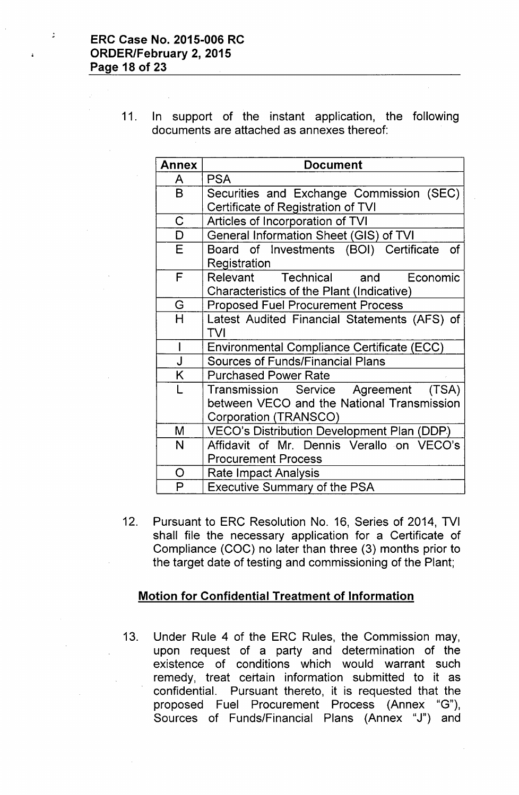$\ddot{\cdot}$ 

11. In support of the instant application, the following documents are attached as annexes thereof:

| <b>Annex</b> | <b>Document</b>                                     |
|--------------|-----------------------------------------------------|
| A            | <b>PSA</b>                                          |
| B            | Securities and Exchange Commission (SEC)            |
|              | Certificate of Registration of TVI                  |
| $\mathsf C$  | Articles of Incorporation of TVI                    |
| $\mathsf D$  | General Information Sheet (GIS) of TVI              |
| E            | Board of Investments (BOI) Certificate<br><b>of</b> |
|              | Registration                                        |
| F            | Relevant Technical and Economic                     |
|              | Characteristics of the Plant (Indicative)           |
| G            | <b>Proposed Fuel Procurement Process</b>            |
| H            | Latest Audited Financial Statements (AFS) of        |
|              | <b>TVI</b>                                          |
| $\mathsf{I}$ | <b>Environmental Compliance Certificate (ECC)</b>   |
| J            | <b>Sources of Funds/Financial Plans</b>             |
| K            | <b>Purchased Power Rate</b>                         |
| L            | Transmission Service Agreement (TSA)                |
|              | between VECO and the National Transmission          |
|              | Corporation (TRANSCO)                               |
| M            | VECO's Distribution Development Plan (DDP.)         |
| N            | Affidavit of Mr. Dennis Verallo on VECO's           |
|              | <b>Procurement Process</b>                          |
| O            | Rate Impact Analysis                                |
| P            | <b>Executive Summary of the PSA</b>                 |

12. Pursuant to ERC Resolution No. 16, Series of 2014, TVI shall file the necessary application for a Certificate of Compliance (COC) no later than three (3) months prior to the target date of testing and commissioning of the Plant;

## Motion for Confidential Treatment of Information

13. Under Rule 4 of the ERC Rules, the Commission may, upon request of a party and determination of the existence of conditions which would warrant such remedy, treat certain information submitted to it as confidential. Pursuant thereto, it is requested that the proposed Fuel Procurement Process (Annex "G"), Sources of Funds/Financial Plans (Annex "J") and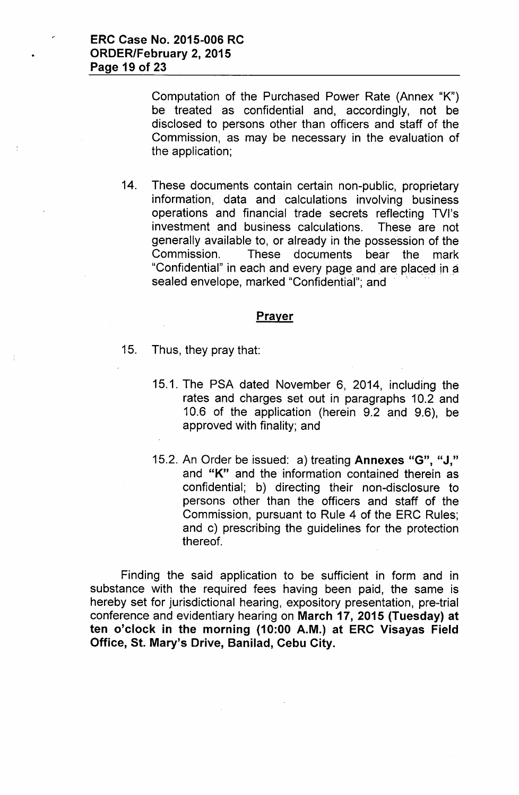Computation of the Purchased Power Rate (Annex "K") be treated as confidential and, accordingly, not be disclosed to persons other than officers and staff of the Commission, as may be necessary in the evaluation of the application;

14. These documents contain certain non-public, proprietary information, data and calculations involving business operations and financial trade secrets reflecting TVI's investment and business calculations. These are not generally available to, or already in the possession of the Commission. These documents bear the mark "Confidential" in each and every page and are placed in a sealed envelope, marked "Confidential"; and

### **Prayer**

- 15. Thus, they pray that:
	- 15.1. The PSA dated November 6, 2014, including the rates and charges set out in paragraphs 10.2 and 10.6 of the application (herein 9.2 and 9.6), be approved with finality; and
	- 15.2. An Order be issued: a) treating Annexes "G", "J," and "K" and the information contained therein as confidential; b) directing their non-disclosure to persons other than the officers and staff of the Commission, pursuant to Rule 4 of the ERC Rules; and c) prescribing the guidelines for the protection thereof.

Finding the said application to be sufficient in form and in substance with the required fees having been paid, the same is hereby set for jurisdictional hearing, expository presentation, pre-trial conference and evidentiary hearing on March 17, 2015 (Tuesday) at ten o'clock in the morning (10:00 A.M.) at ERC Visayas Field Office, St. Mary's Drive, Banilad, Cebu City.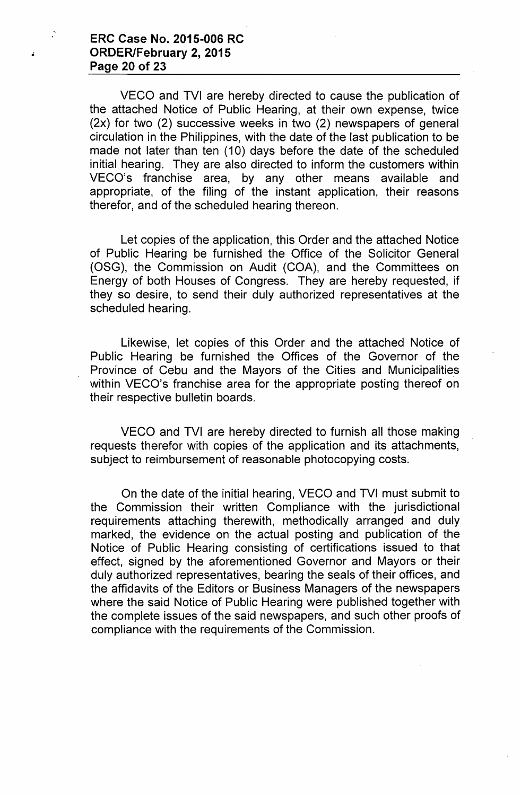## ERC Case No. 2015-006 RC • ORDER/February 2, 2015 Page 20 of 23

 $\mathcal{L}$ 

VECO and TVI are hereby directed to cause the publication of the attached Notice of Public Hearing, at their own expense, twice (2x) for two (2) successive weeks in two (2) newspapers of general circulation in the Philippines, with the date of the last publication to be made not later than ten (10) days before the date of the scheduled initial hearing. They are also directed to inform the customers within VECO's franchise area, by any other means available and appropriate, of the filing of the instant application, their reasons therefor, and of the scheduled hearing thereon.

Let copies of the application, this Order and the attached Notice of Public Hearing be furnished the Office of the Solicitor General (OSG), the Commission on Audit (COA), and the Committees on Energy of both Houses of Congress. They are hereby requested, if they so desire, to send their duly authorized representatives at the scheduled hearing.

Likewise, let copies of this Order and the attached Notice of Public Hearing be furnished the Offices of the Governor of the Province of Cebu and the Mayors of the Cities and Municipalities within VECO's franchise area for the appropriate posting thereof on their respective bulletin boards.

VECO and TVI are hereby directed to furnish all those making requests therefor with copies of the application and its attachments, subject to reimbursement of reasonable photocopying costs.

On the date of the initial hearing. VECO and TVI must submit to the Commission their written Compliance with the jurisdictional requirements attaching therewith, methodically arranged and duly marked, the evidence on the actual posting and publication of the Notice of Public Hearing consisting of certifications issued to that effect, signed by the aforementioned Governor and Mayors or their duly authorized representatives, bearing the seals of their offices, and the affidavits of the Editors or Business Managers of the newspapers where the said Notice of Public Hearing were published together with the complete issues of the said newspapers, and such other proofs of compliance with the requirements of the Commission.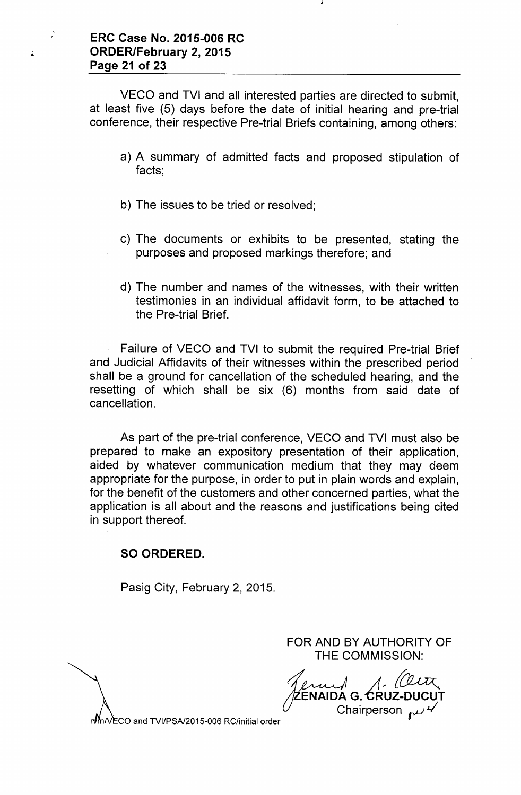.

VECO and TVI and all interested parties are directed to submit, at least five (5) days before the date of initial hearing and pre-trial conference, their respective Pre-trial Briefs containing, among others:

- a) A summary of admitted facts and proposed stipulation of facts;
- b) The issues to be tried or resolved;
- c) The documents or exhibits to be presented, stating the purposes and proposed markings therefore; and
- d) The number and names of the witnesses, with their written testimonies in an individual affidavit form, to be attached to the Pre-trial Brief.

Failure of VECO and TVI to submit the required Pre-trial Brief and Judicial Affidavits of their witnesses within the prescribed period shall be a ground for cancellation of the scheduled hearing, and the resetting of which shall be six (6) months from said date of cancellation.

As part of the pre-trial conference, VECO and TVI must also be prepared to make an expository presentation of their application, aided by whatever communication medium that they may deem appropriate for the purpose, in order to put in plain words and explain, for the benefit of the customers and other concerned parties, what the application is all about and the reasons and justifications being cited in support thereof.

# SO ORDERED.

Pasig City, February 2, 2015.

FOR AND BY AUTHORITY OF THE COMMISSION:

*~ A~* ENAIDA G. <mark>C</mark>RUZ-D **Chairperson** 

*N* m/VECO and TVI/PSA/2015-006 RC/initial order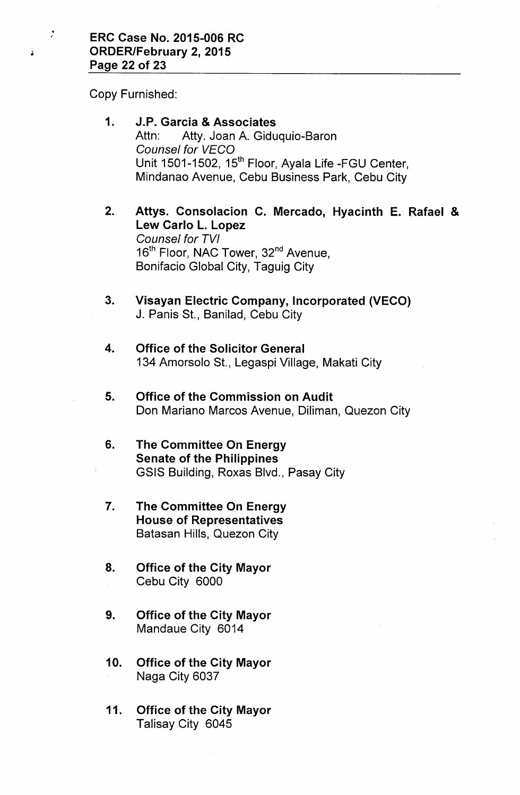Copy Furnished:

•

- 1. J.P. Garcia & Associates Attn: Atty. Joan A. Giduquio-Baron *Counsel for VECa* Unit 1501-1502, 15<sup>th</sup> Floor, Ayala Life -FGU Center, Mindanao Avenue, Cebu Business Park, Cebu City
- 2. Attys. Consolacion C. Mercado, Hyacinth E. Rafael & Lew Carlo L. Lopez *Counsel for TVI* 16<sup>th</sup> Floor, NAC Tower, 32<sup>nd</sup> Avenue, Bonifacio Global City, Taguig City
- 3. Visayan Electric Company, Incorporated (VECO) J. Panis St., Banilad, Cebu City
- 4. Office of the Solicitor General 134 Amorsolo St., Legaspi Village, Makati City
- 5. Office of the Commission on Audit Don Mariano Marcos Avenue, Diliman, Quezon City
- 6. The Committee On Energy Senate of the Philippines GSIS Building, Roxas Blvd., Pasay City
- 7. The Committee On Energy House of Representatives Batasan Hills, Quezon City
- 8. Office of the City Mayor Cebu City 6000
- 9. Office of the City Mayor Mandaue City 6014
- 10. Office of the City Mayor Naga City 6037
- 11. Office of the City Mayor Talisay City 6045